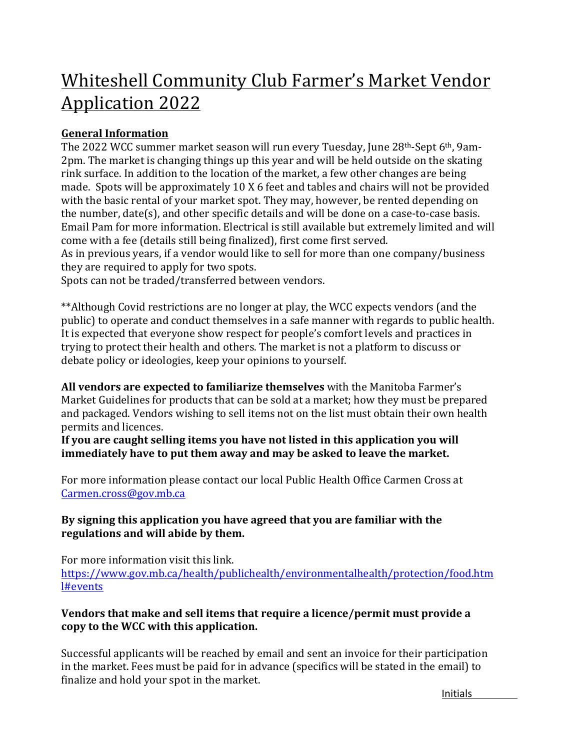# Whiteshell Community Club Farmer's Market Vendor **Application 2022**

# **General Information**

The 2022 WCC summer market season will run every Tuesday, June 28th-Sept 6th, 9am-2pm. The market is changing things up this year and will be held outside on the skating rink surface. In addition to the location of the market, a few other changes are being made. Spots will be approximately 10 X 6 feet and tables and chairs will not be provided with the basic rental of your market spot. They may, however, be rented depending on the number,  $date(s)$ , and other specific details and will be done on a case-to-case basis. Email Pam for more information. Electrical is still available but extremely limited and will come with a fee (details still being finalized), first come first served.

As in previous years, if a vendor would like to sell for more than one company/business they are required to apply for two spots.

Spots can not be traded/transferred between vendors.

\*\*Although Covid restrictions are no longer at play, the WCC expects vendors (and the public) to operate and conduct themselves in a safe manner with regards to public health. It is expected that everyone show respect for people's comfort levels and practices in trying to protect their health and others. The market is not a platform to discuss or debate policy or ideologies, keep your opinions to yourself.

**All vendors are expected to familiarize themselves** with the Manitoba Farmer's Market Guidelines for products that can be sold at a market; how they must be prepared and packaged. Vendors wishing to sell items not on the list must obtain their own health permits and licences.

**If you are caught selling items you have not listed in this application you will immediately have to put them away and may be asked to leave the market.** 

For more information please contact our local Public Health Office Carmen Cross at Carmen.cross@gov.mb.ca

#### By signing this application you have agreed that you are familiar with the regulations and will abide by them.

For more information visit this link. https://www.gov.mb.ca/health/publichealth/environmentalhealth/protection/food.htm l#events

### **Vendors that make and sell items that require a licence/permit must provide a** copy to the WCC with this application.

Successful applicants will be reached by email and sent an invoice for their participation in the market. Fees must be paid for in advance (specifics will be stated in the email) to finalize and hold your spot in the market.

Initials **build**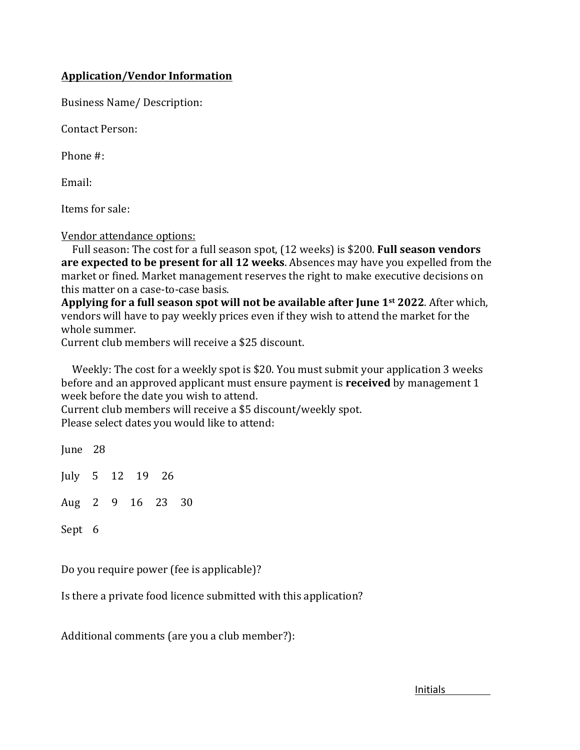#### **Application/Vendor Information**

Business Name/ Description:

Contact Person:

Phone #:

Email:

Items for sale:

#### Vendor attendance options:

Full season: The cost for a full season spot, (12 weeks) is \$200. **Full season vendors are expected to be present for all 12 weeks**. Absences may have you expelled from the market or fined. Market management reserves the right to make executive decisions on this matter on a case-to-case basis.

**Applying for a full season spot will not be available after June 1<sup>st</sup> 2022. After which,** vendors will have to pay weekly prices even if they wish to attend the market for the whole summer.

Current club members will receive a \$25 discount.

Weekly: The cost for a weekly spot is \$20. You must submit your application 3 weeks before and an approved applicant must ensure payment is **received** by management 1 week before the date you wish to attend.

Current club members will receive a \$5 discount/weekly spot. Please select dates you would like to attend:

June 28 July  $5 \t12 \t19 \t26$ Aug 2 9 16 23 30 Sept 6

Do you require power (fee is applicable)?

Is there a private food licence submitted with this application?

Additional comments (are you a club member?):